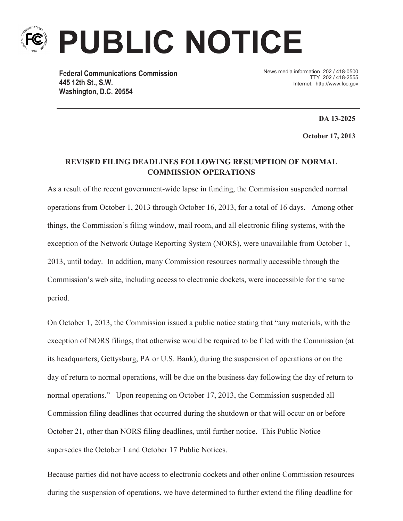

**PUBLIC NOTICE**

**Federal Communications Commission 445 12th St., S.W. Washington, D.C. 20554**

News media information 202 / 418-0500 TTY 202 / 418-2555 Internet: http://www.fcc.gov

**DA 13-2025**

**October 17, 2013**

## **REVISED FILING DEADLINES FOLLOWING RESUMPTION OF NORMAL COMMISSION OPERATIONS**

As a result of the recent government-wide lapse in funding, the Commission suspended normal operations from October 1, 2013 through October 16, 2013, for a total of 16 days. Among other things, the Commission's filing window, mail room, and all electronic filing systems, with the exception of the Network Outage Reporting System (NORS), were unavailable from October 1, 2013, until today. In addition, many Commission resources normally accessible through the Commission's web site, including access to electronic dockets, were inaccessible for the same period.

On October 1, 2013, the Commission issued a public notice stating that "any materials, with the exception of NORS filings, that otherwise would be required to be filed with the Commission (at its headquarters, Gettysburg, PA or U.S. Bank), during the suspension of operations or on the day of return to normal operations, will be due on the business day following the day of return to normal operations." Upon reopening on October 17, 2013, the Commission suspended all Commission filing deadlines that occurred during the shutdown or that will occur on or before October 21, other than NORS filing deadlines, until further notice. This Public Notice supersedes the October 1 and October 17 Public Notices.

Because parties did not have access to electronic dockets and other online Commission resources during the suspension of operations, we have determined to further extend the filing deadline for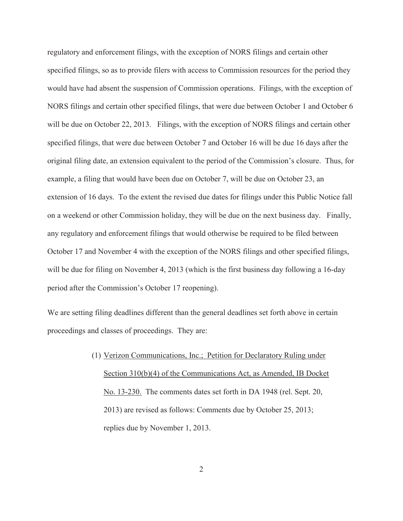regulatory and enforcement filings, with the exception of NORS filings and certain other specified filings, so as to provide filers with access to Commission resources for the period they would have had absent the suspension of Commission operations. Filings, with the exception of NORS filings and certain other specified filings, that were due between October 1 and October 6 will be due on October 22, 2013. Filings, with the exception of NORS filings and certain other specified filings, that were due between October 7 and October 16 will be due 16 days after the original filing date, an extension equivalent to the period of the Commission's closure. Thus, for example, a filing that would have been due on October 7, will be due on October 23, an extension of 16 days. To the extent the revised due dates for filings under this Public Notice fall on a weekend or other Commission holiday, they will be due on the next business day. Finally, any regulatory and enforcement filings that would otherwise be required to be filed between October 17 and November 4 with the exception of the NORS filings and other specified filings, will be due for filing on November 4, 2013 (which is the first business day following a 16-day period after the Commission's October 17 reopening).

We are setting filing deadlines different than the general deadlines set forth above in certain proceedings and classes of proceedings. They are:

> (1) Verizon Communications, Inc.; Petition for Declaratory Ruling under Section 310(b)(4) of the Communications Act, as Amended, IB Docket No. 13-230. The comments dates set forth in DA 1948 (rel. Sept. 20, 2013) are revised as follows: Comments due by October 25, 2013; replies due by November 1, 2013.

> > 2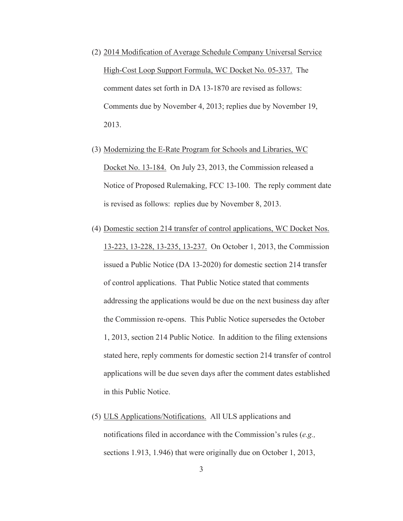- (2) 2014 Modification of Average Schedule Company Universal Service High-Cost Loop Support Formula, WC Docket No. 05-337. The comment dates set forth in DA 13-1870 are revised as follows: Comments due by November 4, 2013; replies due by November 19, 2013.
- (3) Modernizing the E-Rate Program for Schools and Libraries, WC Docket No. 13-184. On July 23, 2013, the Commission released a Notice of Proposed Rulemaking, FCC 13-100. The reply comment date is revised as follows: replies due by November 8, 2013.
- (4) Domestic section 214 transfer of control applications, WC Docket Nos. 13-223, 13-228, 13-235, 13-237. On October 1, 2013, the Commission issued a Public Notice (DA 13-2020) for domestic section 214 transfer of control applications. That Public Notice stated that comments addressing the applications would be due on the next business day after the Commission re-opens. This Public Notice supersedes the October 1, 2013, section 214 Public Notice. In addition to the filing extensions stated here, reply comments for domestic section 214 transfer of control applications will be due seven days after the comment dates established in this Public Notice.
- (5) ULS Applications/Notifications. All ULS applications and notifications filed in accordance with the Commission's rules (*e.g.,*  sections 1.913, 1.946) that were originally due on October 1, 2013,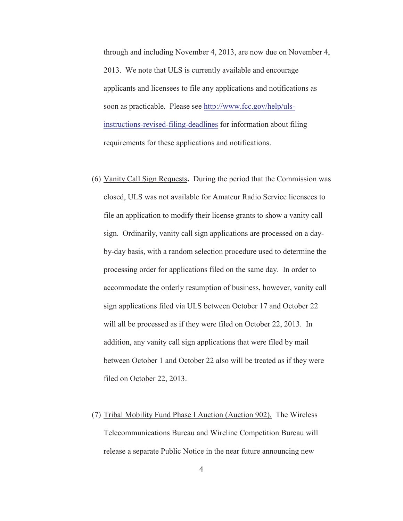through and including November 4, 2013, are now due on November 4, 2013. We note that ULS is currently available and encourage applicants and licensees to file any applications and notifications as soon as practicable. Please see http://www.fcc.gov/help/ulsinstructions-revised-filing-deadlines for information about filing requirements for these applications and notifications.

- (6) Vanity Call Sign Requests**.** During the period that the Commission was closed, ULS was not available for Amateur Radio Service licensees to file an application to modify their license grants to show a vanity call sign. Ordinarily, vanity call sign applications are processed on a dayby-day basis, with a random selection procedure used to determine the processing order for applications filed on the same day. In order to accommodate the orderly resumption of business, however, vanity call sign applications filed via ULS between October 17 and October 22 will all be processed as if they were filed on October 22, 2013. In addition, any vanity call sign applications that were filed by mail between October 1 and October 22 also will be treated as if they were filed on October 22, 2013.
- (7) Tribal Mobility Fund Phase I Auction (Auction 902). The Wireless Telecommunications Bureau and Wireline Competition Bureau will release a separate Public Notice in the near future announcing new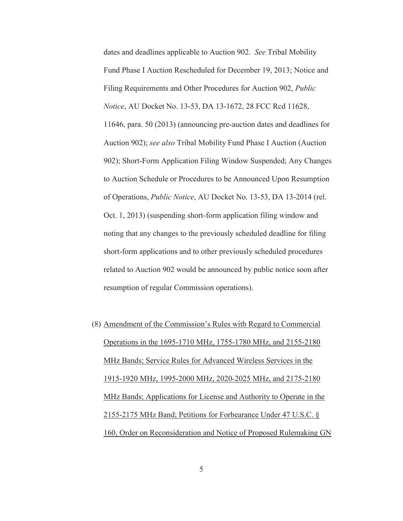dates and deadlines applicable to Auction 902. *See* Tribal Mobility Fund Phase I Auction Rescheduled for December 19, 2013; Notice and Filing Requirements and Other Procedures for Auction 902, *Public Notice*, AU Docket No. 13-53, DA 13-1672, 28 FCC Rcd 11628, 11646, para. 50 (2013) (announcing pre-auction dates and deadlines for Auction 902); *see also* Tribal Mobility Fund Phase I Auction (Auction 902); Short-Form Application Filing Window Suspended; Any Changes to Auction Schedule or Procedures to be Announced Upon Resumption of Operations, *Public Notice*, AU Docket No. 13-53, DA 13-2014 (rel. Oct. 1, 2013) (suspending short-form application filing window and noting that any changes to the previously scheduled deadline for filing short-form applications and to other previously scheduled procedures related to Auction 902 would be announced by public notice soon after resumption of regular Commission operations).

(8) Amendment of the Commission's Rules with Regard to Commercial Operations in the 1695-1710 MHz, 1755-1780 MHz, and 2155-2180 MHz Bands; Service Rules for Advanced Wireless Services in the 1915-1920 MHz, 1995-2000 MHz, 2020-2025 MHz, and 2175-2180 MHz Bands; Applications for License and Authority to Operate in the 2155-2175 MHz Band; Petitions for Forbearance Under 47 U.S.C. § 160, Order on Reconsideration and Notice of Proposed Rulemaking GN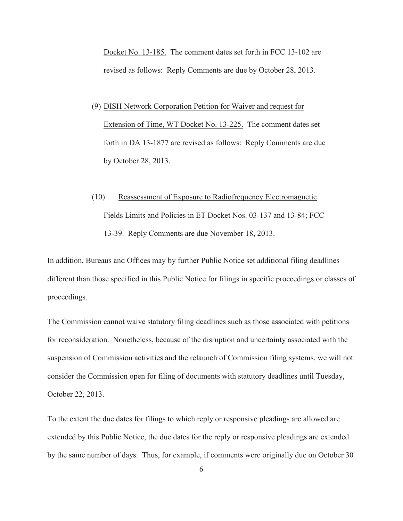Docket No. 13-185. The comment dates set forth in FCC 13-102 are revised as follows: Reply Comments are due by October 28, 2013.

- (9) DISH Network Corporation Petition for Waiver and request for Extension of Time, WT Docket No. 13-225. The comment dates set forth in DA 13-1877 are revised as follows: Reply Comments are due by October 28, 2013.
- (10) Reassessment of Exposure to Radiofrequency Electromagnetic Fields Limits and Policies in ET Docket Nos. 03-137 and 13-84; FCC 13-39. Reply Comments are due November 18, 2013.

In addition, Bureaus and Offices may by further Public Notice set additional filing deadlines different than those specified in this Public Notice for filings in specific proceedings or classes of proceedings.

The Commission cannot waive statutory filing deadlines such as those associated with petitions for reconsideration. Nonetheless, because of the disruption and uncertainty associated with the suspension of Commission activities and the relaunch of Commission filing systems, we will not consider the Commission open for filing of documents with statutory deadlines until Tuesday, October 22, 2013.

To the extent the due dates for filings to which reply or responsive pleadings are allowed are extended by this Public Notice, the due dates for the reply or responsive pleadings are extended by the same number of days. Thus, for example, if comments were originally due on October 30